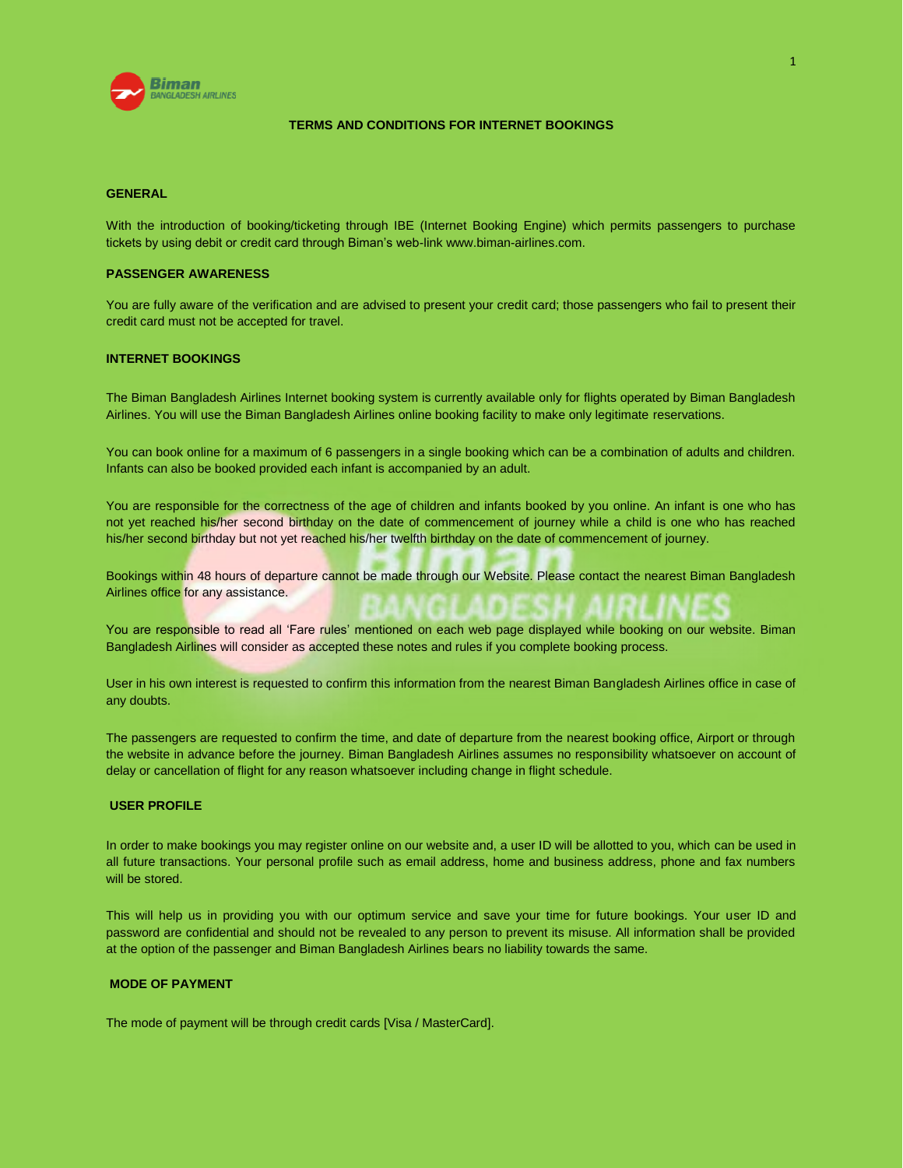

#### **TERMS AND CONDITIONS FOR INTERNET BOOKINGS**

## **GENERAL**

With the introduction of booking/ticketing through IBE (Internet Booking Engine) which permits passengers to purchase tickets by using debit or credit card through Biman's web-lin[k www.biman-airlines.com.](http://www.biman-airlines.com/)

## **PASSENGER AWARENESS**

You are fully aware of the verification and are advised to present your credit card; those passengers who fail to present their credit card must not be accepted for travel.

## **INTERNET BOOKINGS**

The Biman Bangladesh Airlines Internet booking system is currently available only for flights operated by Biman Bangladesh Airlines. You will use the Biman Bangladesh Airlines online booking facility to make only legitimate reservations.

You can book online for a maximum of 6 passengers in a single booking which can be a combination of adults and children. Infants can also be booked provided each infant is accompanied by an adult.

You are responsible for the correctness of the age of children and infants booked by you online. An infant is one who has not yet reached his/her second birthday on the date of commencement of journey while a child is one who has reached his/her second birthday but not yet reached his/her twelfth birthday on the date of commencement of journey.

Bookings within 48 hours of departure cannot be made through our Website. Please contact the nearest Biman Bangladesh Airlines office for any assistance.

You are responsible to read all 'Fare rules' mentioned on each web page displayed while booking on our website. Biman Bangladesh Airlines will consider as accepted these notes and rules if you complete booking process.

User in his own interest is requested to confirm this information from the nearest Biman Bangladesh Airlines office in case of any doubts.

The passengers are requested to confirm the time, and date of departure from the nearest booking office, Airport or through the website in advance before the journey. Biman Bangladesh Airlines assumes no responsibility whatsoever on account of delay or cancellation of flight for any reason whatsoever including change in flight schedule.

#### **USER PROFILE**

In order to make bookings you may register online on our website and, a user ID will be allotted to you, which can be used in all future transactions. Your personal profile such as email address, home and business address, phone and fax numbers will be stored.

This will help us in providing you with our optimum service and save your time for future bookings. Your user ID and password are confidential and should not be revealed to any person to prevent its misuse. All information shall be provided at the option of the passenger and Biman Bangladesh Airlines bears no liability towards the same.

#### **MODE OF PAYMENT**

The mode of payment will be through credit cards [Visa / MasterCard].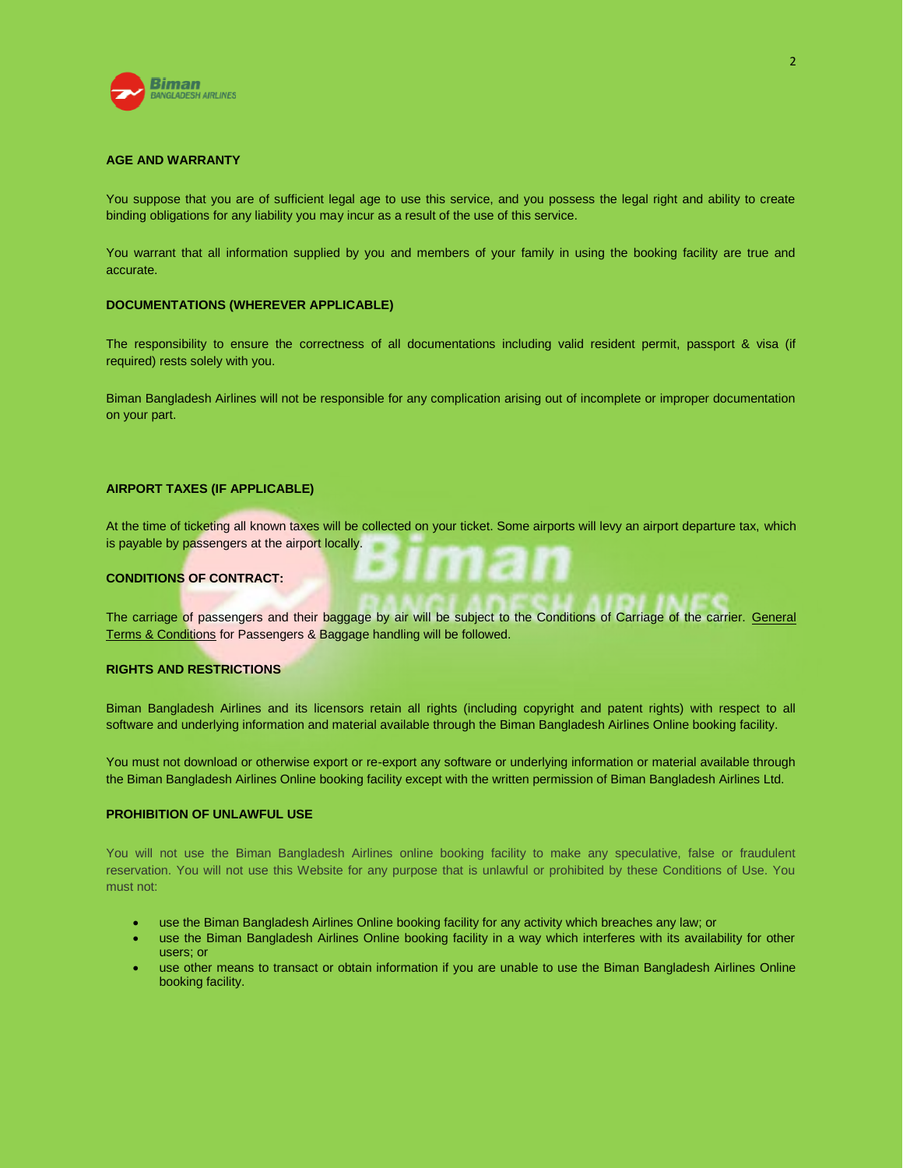

#### **AGE AND WARRANTY**

You suppose that you are of sufficient legal age to use this service, and you possess the legal right and ability to create binding obligations for any liability you may incur as a result of the use of this service.

You warrant that all information supplied by you and members of your family in using the booking facility are true and accurate.

#### **DOCUMENTATIONS (WHEREVER APPLICABLE)**

The responsibility to ensure the correctness of all documentations including valid resident permit, passport & visa (if required) rests solely with you.

Biman Bangladesh Airlines will not be responsible for any complication arising out of incomplete or improper documentation on your part.

## **AIRPORT TAXES (IF APPLICABLE)**

At the time of ticketing all known taxes will be collected on your ticket. Some airports will levy an airport departure tax, which is payable by passengers at the airport locally.

## **CONDITIONS OF CONTRACT:**

The carriage of passengers and their baggage by air will be subject to the Conditions of Carriage of the carrier. General Terms & Conditions for Passengers & Baggage handling will be followed.

#### **RIGHTS AND RESTRICTIONS**

Biman Bangladesh Airlines and its licensors retain all rights (including copyright and patent rights) with respect to all software and underlying information and material available through the Biman Bangladesh Airlines Online booking facility.

You must not download or otherwise export or re-export any software or underlying information or material available through the Biman Bangladesh Airlines Online booking facility except with the written permission of Biman Bangladesh Airlines Ltd.

#### **PROHIBITION OF UNLAWFUL USE**

You will not use the Biman Bangladesh Airlines online booking facility to make any speculative, false or fraudulent reservation. You will not use this Website for any purpose that is unlawful or prohibited by these Conditions of Use. You must not:

- use the Biman Bangladesh Airlines Online booking facility for any activity which breaches any law; or
- use the Biman Bangladesh Airlines Online booking facility in a way which interferes with its availability for other users; or
- use other means to transact or obtain information if you are unable to use the Biman Bangladesh Airlines Online booking facility.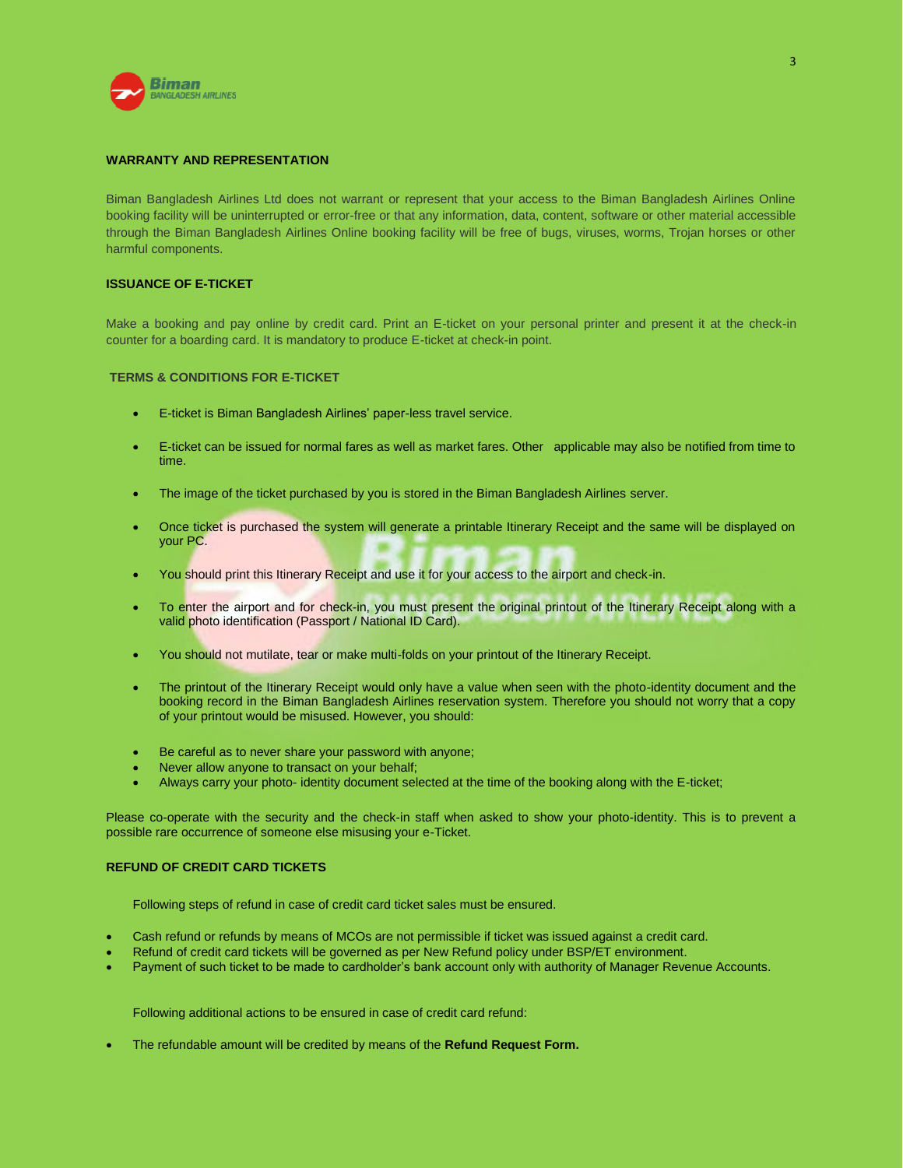

## **WARRANTY AND REPRESENTATION**

Biman Bangladesh Airlines Ltd does not warrant or represent that your access to the Biman Bangladesh Airlines Online booking facility will be uninterrupted or error-free or that any information, data, content, software or other material accessible through the Biman Bangladesh Airlines Online booking facility will be free of bugs, viruses, worms, Trojan horses or other harmful components.

## **ISSUANCE OF E-TICKET**

Make a booking and pay online by credit card. Print an E-ticket on your personal printer and present it at the check-in counter for a boarding card. It is mandatory to produce E-ticket at check-in point.

#### **TERMS & CONDITIONS FOR E-TICKET**

- E-ticket is Biman Bangladesh Airlines' paper-less travel service.
- E-ticket can be issued for normal fares as well as market fares. Other applicable may also be notified from time to time.
- The image of the ticket purchased by you is stored in the Biman Bangladesh Airlines server.
- Once ticket is purchased the system will generate a printable Itinerary Receipt and the same will be displayed on your PC.
- You should print this Itinerary Receipt and use it for your access to the airport and check-in.
- To enter the airport and for check-in, you must present the original printout of the Itinerary Receipt along with a valid photo identification (Passport / National ID Card).
- You should not mutilate, tear or make multi-folds on your printout of the Itinerary Receipt.
- The printout of the Itinerary Receipt would only have a value when seen with the photo-identity document and the booking record in the Biman Bangladesh Airlines reservation system. Therefore you should not worry that a copy of your printout would be misused. However, you should:
- Be careful as to never share your password with anyone;
- Never allow anyone to transact on your behalf;
- Always carry your photo- identity document selected at the time of the booking along with the E-ticket;

Please co-operate with the security and the check-in staff when asked to show your photo-identity. This is to prevent a possible rare occurrence of someone else misusing your e-Ticket.

# **REFUND OF CREDIT CARD TICKETS**

Following steps of refund in case of credit card ticket sales must be ensured.

- Cash refund or refunds by means of MCOs are not permissible if ticket was issued against a credit card.
- Refund of credit card tickets will be governed as per New Refund policy under BSP/ET environment.
- Payment of such ticket to be made to cardholder's bank account only with authority of Manager Revenue Accounts.

Following additional actions to be ensured in case of credit card refund:

The refundable amount will be credited by means of the **Refund Request Form.**